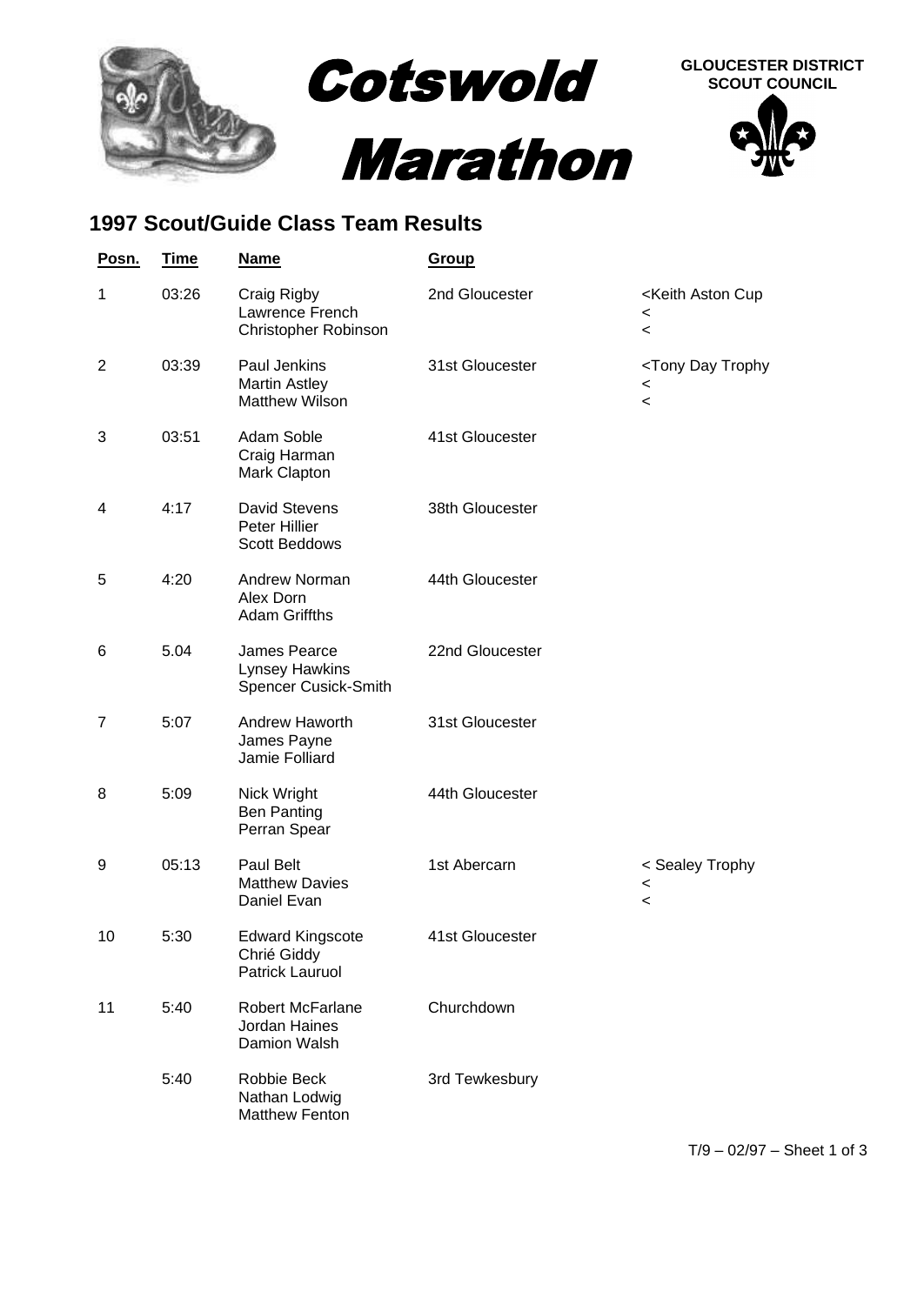

## **1997 Scout/Guide Class Team Results**

| Posn.          | <b>Time</b> | <b>Name</b>                                                      | Group           |                                                                                                 |
|----------------|-------------|------------------------------------------------------------------|-----------------|-------------------------------------------------------------------------------------------------|
| $\mathbf{1}$   | 03:26       | Craig Rigby<br>Lawrence French<br>Christopher Robinson           | 2nd Gloucester  | <keith aston="" cup<br=""><math>\,&lt;\,</math><br/><math>\overline{\phantom{0}}</math></keith> |
| $\overline{2}$ | 03:39       | Paul Jenkins<br><b>Martin Astley</b><br><b>Matthew Wilson</b>    | 31st Gloucester | <tony day="" trophy<br=""><math>\,&lt;\,</math><br/><math>\,&lt;\,</math></tony>                |
| 3              | 03:51       | Adam Soble<br>Craig Harman<br>Mark Clapton                       | 41st Gloucester |                                                                                                 |
| 4              | 4:17        | <b>David Stevens</b><br>Peter Hillier<br><b>Scott Beddows</b>    | 38th Gloucester |                                                                                                 |
| 5              | 4:20        | Andrew Norman<br>Alex Dorn<br><b>Adam Griffths</b>               | 44th Gloucester |                                                                                                 |
| 6              | 5.04        | James Pearce<br><b>Lynsey Hawkins</b><br>Spencer Cusick-Smith    | 22nd Gloucester |                                                                                                 |
| $\overline{7}$ | 5:07        | Andrew Haworth<br>James Payne<br>Jamie Folliard                  | 31st Gloucester |                                                                                                 |
| 8              | 5:09        | Nick Wright<br><b>Ben Panting</b><br>Perran Spear                | 44th Gloucester |                                                                                                 |
| 9              | 05:13       | Paul Belt<br><b>Matthew Davies</b><br>Daniel Evan                | 1st Abercarn    | < Sealey Trophy<br>$\,<$<br>$\,<$                                                               |
| 10             | 5:30        | <b>Edward Kingscote</b><br>Chrié Giddy<br><b>Patrick Lauruol</b> | 41st Gloucester |                                                                                                 |
| 11             | 5:40        | <b>Robert McFarlane</b><br>Jordan Haines<br>Damion Walsh         | Churchdown      |                                                                                                 |
|                | 5:40        | Robbie Beck<br>Nathan Lodwig<br><b>Matthew Fenton</b>            | 3rd Tewkesbury  |                                                                                                 |

T/9 – 02/97 – Sheet 1 of 3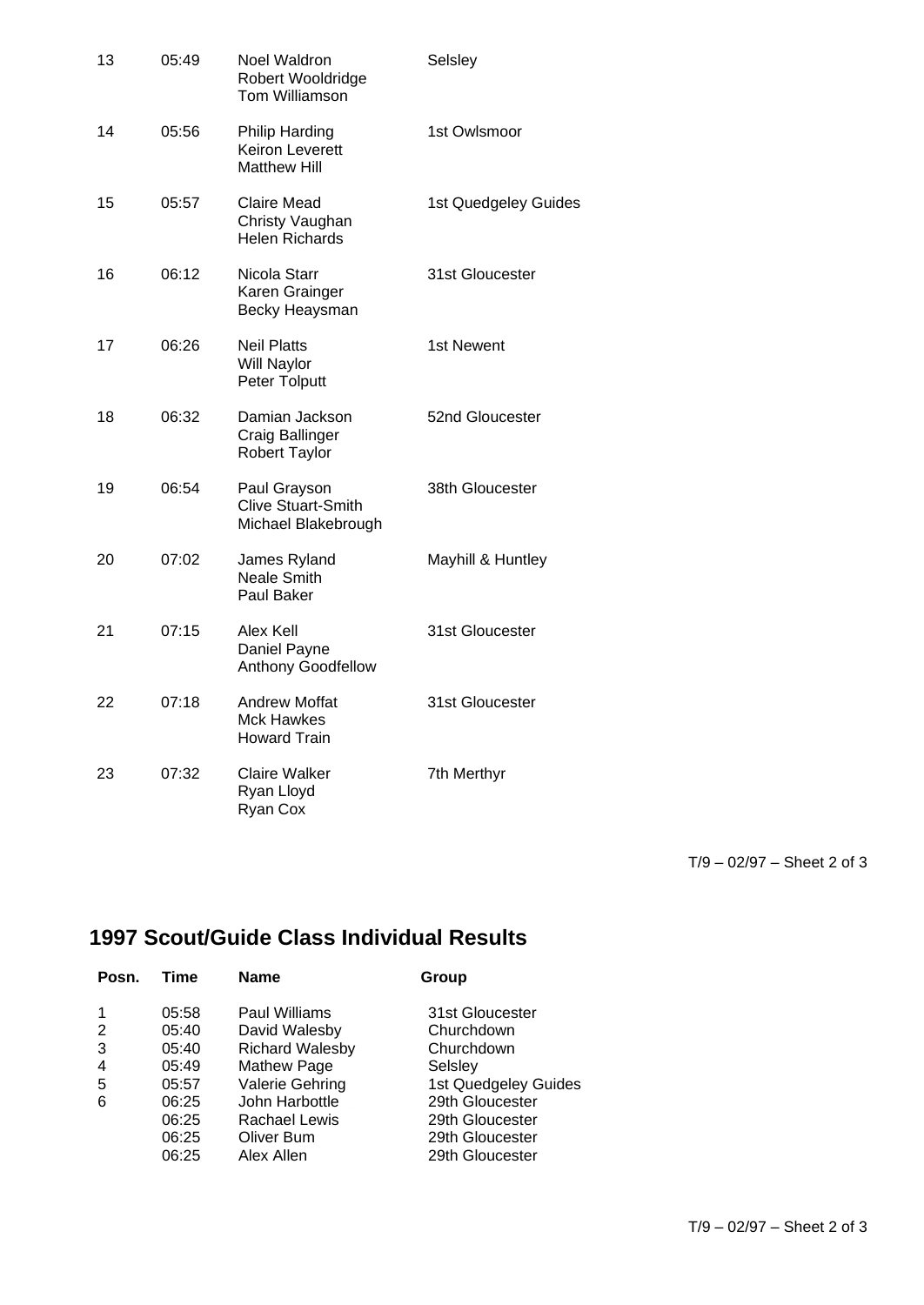| 13 | 05:49 | Noel Waldron<br>Robert Wooldridge<br>Tom Williamson              | Selsley              |
|----|-------|------------------------------------------------------------------|----------------------|
| 14 | 05:56 | Philip Harding<br><b>Keiron Leverett</b><br><b>Matthew Hill</b>  | 1st Owlsmoor         |
| 15 | 05:57 | Claire Mead<br>Christy Vaughan<br><b>Helen Richards</b>          | 1st Quedgeley Guides |
| 16 | 06:12 | Nicola Starr<br>Karen Grainger<br>Becky Heaysman                 | 31st Gloucester      |
| 17 | 06:26 | <b>Neil Platts</b><br>Will Naylor<br>Peter Tolputt               | 1st Newent           |
| 18 | 06:32 | Damian Jackson<br>Craig Ballinger<br>Robert Taylor               | 52nd Gloucester      |
| 19 | 06:54 | Paul Grayson<br><b>Clive Stuart-Smith</b><br>Michael Blakebrough | 38th Gloucester      |
| 20 | 07:02 | James Ryland<br><b>Neale Smith</b><br>Paul Baker                 | Mayhill & Huntley    |
| 21 | 07:15 | Alex Kell<br>Daniel Payne<br>Anthony Goodfellow                  | 31st Gloucester      |
| 22 | 07:18 | <b>Andrew Moffat</b><br><b>Mck Hawkes</b><br><b>Howard Train</b> | 31st Gloucester      |
| 23 | 07:32 | Claire Walker<br>Ryan Lloyd<br>Ryan Cox                          | 7th Merthyr          |

T/9 – 02/97 – Sheet 2 of 3

## **1997 Scout/Guide Class Individual Results**

| Posn. | Time  | <b>Name</b>            | Group                |
|-------|-------|------------------------|----------------------|
|       | 05:58 | Paul Williams          | 31st Gloucester      |
| 2     | 05:40 | David Walesby          | Churchdown           |
| 3     | 05:40 | <b>Richard Walesby</b> | Churchdown           |
| 4     | 05:49 | Mathew Page            | Selsley              |
| 5     | 05:57 | Valerie Gehring        | 1st Quedgeley Guides |
| 6     | 06:25 | John Harbottle         | 29th Gloucester      |
|       | 06:25 | Rachael Lewis          | 29th Gloucester      |
|       | 06:25 | Oliver Bum             | 29th Gloucester      |
|       | 06:25 | Alex Allen             | 29th Gloucester      |